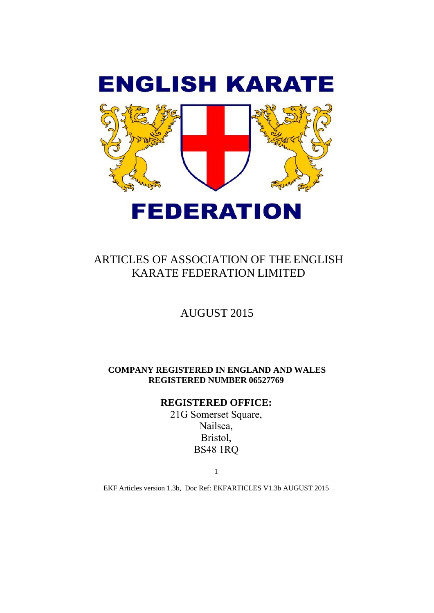

# ARTICLES OF ASSOCIATION OF THE ENGLISH KARATE FEDERATION LIMITED

# AUGUST 2015

**COMPANY REGISTERED IN ENGLAND AND WALES REGISTERED NUMBER 06527769** 

## **REGISTERED OFFICE:**

21G Somerset Square, Nailsea, Bristol, BS48 1RQ

1

EKF Articles version 1.3b, Doc Ref: EKFARTICLES V1.3b AUGUST 2015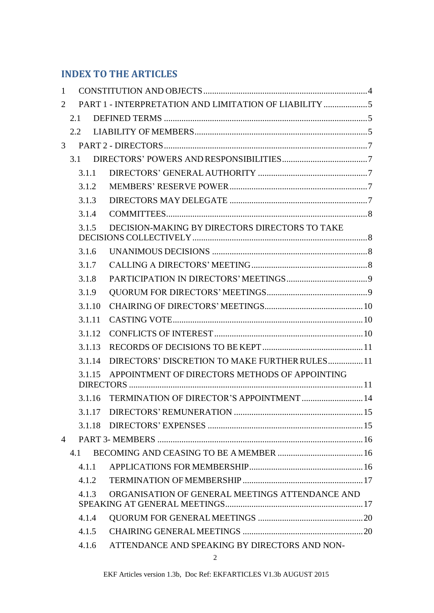# **INDEX TO THE ARTICLES**

| 1              |                                                          |                                                 |  |
|----------------|----------------------------------------------------------|-------------------------------------------------|--|
| 2              |                                                          |                                                 |  |
|                | 2.1                                                      |                                                 |  |
|                | 2.2                                                      |                                                 |  |
| 3              |                                                          |                                                 |  |
|                | 3.1                                                      |                                                 |  |
|                | 3.1.1                                                    |                                                 |  |
|                | 3.1.2                                                    |                                                 |  |
|                | 3.1.3                                                    |                                                 |  |
|                | 3.1.4                                                    |                                                 |  |
|                | 3.1.5                                                    | DECISION-MAKING BY DIRECTORS DIRECTORS TO TAKE  |  |
|                | 3.1.6                                                    |                                                 |  |
|                | 3.1.7                                                    |                                                 |  |
|                | 3.1.8                                                    |                                                 |  |
|                | 3.1.9                                                    |                                                 |  |
|                | 3.1.10                                                   |                                                 |  |
|                | 3.1.11                                                   |                                                 |  |
|                | 3.1.12                                                   |                                                 |  |
|                | 3.1.13                                                   |                                                 |  |
|                | 3.1.14                                                   | DIRECTORS' DISCRETION TO MAKE FURTHER RULES 11  |  |
|                | APPOINTMENT OF DIRECTORS METHODS OF APPOINTING<br>3.1.15 |                                                 |  |
|                | 3.1.16                                                   | TERMINATION OF DIRECTOR'S APPOINTMENT 14        |  |
|                |                                                          |                                                 |  |
|                | 3.1.18                                                   |                                                 |  |
| $\overline{4}$ |                                                          |                                                 |  |
|                | 4.1                                                      |                                                 |  |
|                | 4.1.1                                                    |                                                 |  |
|                | 4.1.2.                                                   |                                                 |  |
|                | 4.1.3                                                    | ORGANISATION OF GENERAL MEETINGS ATTENDANCE AND |  |
|                | 4.1.4                                                    |                                                 |  |
|                | 4.1.5                                                    |                                                 |  |
|                | 4.1.6                                                    | ATTENDANCE AND SPEAKING BY DIRECTORS AND NON-   |  |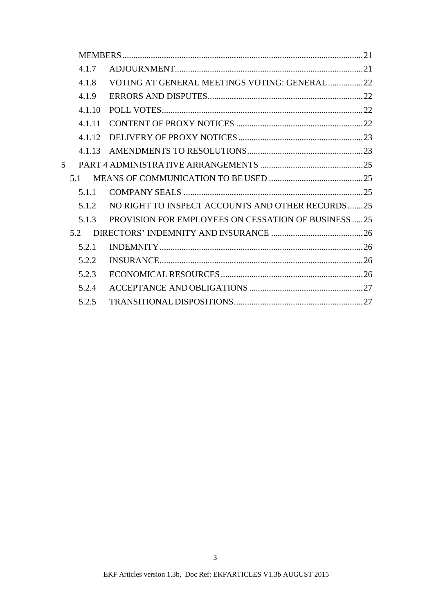|    | 4.1.7  |                                                             |  |
|----|--------|-------------------------------------------------------------|--|
|    | 4.1.8  | VOTING AT GENERAL MEETINGS VOTING: GENERAL22                |  |
|    | 4.1.9  |                                                             |  |
|    | 4.1.10 |                                                             |  |
|    | 4.1.11 |                                                             |  |
|    |        |                                                             |  |
|    |        |                                                             |  |
| 5. |        |                                                             |  |
|    | 5.1    |                                                             |  |
|    | 5.1.1  |                                                             |  |
|    | 5.1.2  | NO RIGHT TO INSPECT ACCOUNTS AND OTHER RECORDS25            |  |
|    | 5.1.3  | <b>PROVISION FOR EMPLOYEES ON CESSATION OF BUSINESS  25</b> |  |
|    | 5.2    |                                                             |  |
|    | 5.2.1  |                                                             |  |
|    | 5.2.2  |                                                             |  |
|    | 5.2.3  |                                                             |  |
|    | 5.2.4  |                                                             |  |
|    | 5.2.5  |                                                             |  |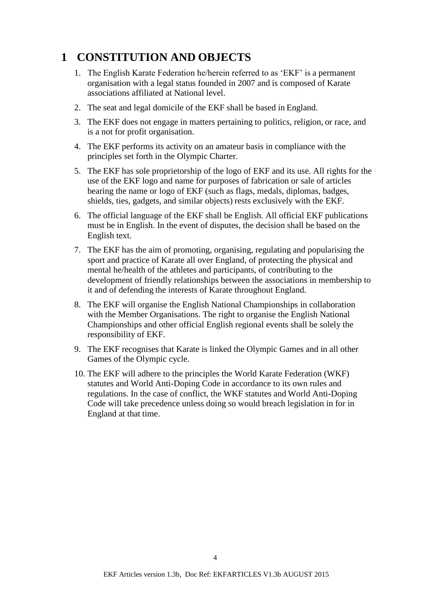# <span id="page-3-0"></span>**1 CONSTITUTION AND OBJECTS**

- 1. The English Karate Federation he/herein referred to as 'EKF' is a permanent organisation with a legal status founded in 2007 and is composed of Karate associations affiliated at National level.
- 2. The seat and legal domicile of the EKF shall be based in England.
- 3. The EKF does not engage in matters pertaining to politics, religion, or race, and is a not for profit organisation.
- 4. The EKF performs its activity on an amateur basis in compliance with the principles set forth in the Olympic Charter.
- 5. The EKF has sole proprietorship of the logo of EKF and its use. All rights for the use of the EKF logo and name for purposes of fabrication or sale of articles bearing the name or logo of EKF (such as flags, medals, diplomas, badges, shields, ties, gadgets, and similar objects) rests exclusively with the EKF.
- 6. The official language of the EKF shall be English. All official EKF publications must be in English. In the event of disputes, the decision shall be based on the English text.
- 7. The EKF has the aim of promoting, organising, regulating and popularising the sport and practice of Karate all over England, of protecting the physical and mental he/health of the athletes and participants, of contributing to the development of friendly relationships between the associations in membership to it and of defending the interests of Karate throughout England.
- 8. The EKF will organise the English National Championships in collaboration with the Member Organisations. The right to organise the English National Championships and other official English regional events shall be solely the responsibility of EKF.
- 9. The EKF recognises that Karate is linked the Olympic Games and in all other Games of the Olympic cycle.
- 10. The EKF will adhere to the principles the World Karate Federation (WKF) statutes and World Anti-Doping Code in accordance to its own rules and regulations. In the case of conflict, the WKF statutes and World Anti-Doping Code will take precedence unless doing so would breach legislation in for in England at that time.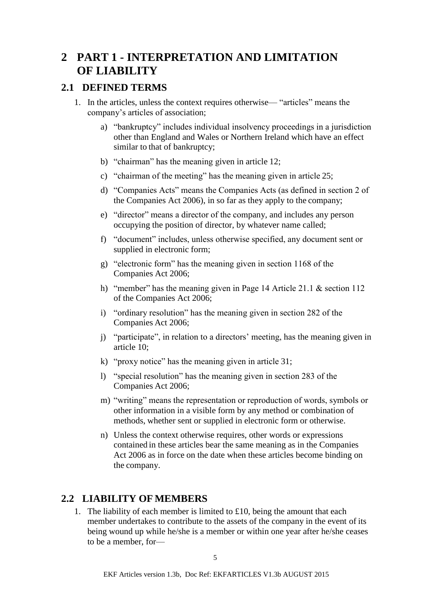# <span id="page-4-0"></span>**2 PART 1 - INTERPRETATION AND LIMITATION OF LIABILITY**

## <span id="page-4-1"></span>**2.1 DEFINED TERMS**

- 1. In the articles, unless the context requires otherwise— "articles" means the company's articles of association;
	- a) "bankruptcy" includes individual insolvency proceedings in a jurisdiction other than England and Wales or Northern Ireland which have an effect similar to that of bankruptcy;
	- b) "chairman" has the meaning given in article 12;
	- c) "chairman of the meeting" has the meaning given in article 25;
	- d) "Companies Acts" means the Companies Acts (as defined in section 2 of the Companies Act 2006), in so far as they apply to the company;
	- e) "director" means a director of the company, and includes any person occupying the position of director, by whatever name called;
	- f) "document" includes, unless otherwise specified, any document sent or supplied in electronic form;
	- g) "electronic form" has the meaning given in section 1168 of the Companies Act 2006;
	- h) "member" has the meaning given in Page 14 Article 21.1 & section 112 of the Companies Act 2006;
	- i) "ordinary resolution" has the meaning given in section 282 of the Companies Act 2006;
	- j) "participate", in relation to a directors' meeting, has the meaning given in article 10;
	- k) "proxy notice" has the meaning given in article 31;
	- l) "special resolution" has the meaning given in section 283 of the Companies Act 2006;
	- m) "writing" means the representation or reproduction of words, symbols or other information in a visible form by any method or combination of methods, whether sent or supplied in electronic form or otherwise.
	- n) Unless the context otherwise requires, other words or expressions contained in these articles bear the same meaning as in the Companies Act 2006 as in force on the date when these articles become binding on the company.

## <span id="page-4-2"></span>**2.2 LIABILITY OF MEMBERS**

1. The liability of each member is limited to  $£10$ , being the amount that each member undertakes to contribute to the assets of the company in the event of its being wound up while he/she is a member or within one year after he/she ceases to be a member, for—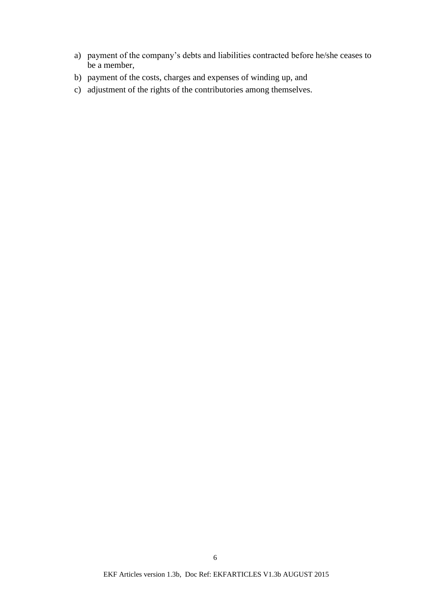- a) payment of the company's debts and liabilities contracted before he/she ceases to be a member,
- b) payment of the costs, charges and expenses of winding up, and
- c) adjustment of the rights of the contributories among themselves.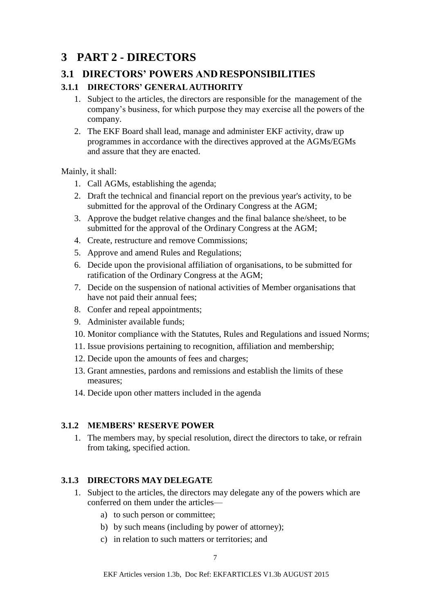# <span id="page-6-0"></span>**3 PART 2 - DIRECTORS**

## <span id="page-6-1"></span>**3.1 DIRECTORS' POWERS AND RESPONSIBILITIES**

## <span id="page-6-2"></span>**3.1.1 DIRECTORS' GENERAL AUTHORITY**

- 1. Subject to the articles, the directors are responsible for the management of the company's business, for which purpose they may exercise all the powers of the company.
- 2. The EKF Board shall lead, manage and administer EKF activity, draw up programmes in accordance with the directives approved at the AGMs/EGMs and assure that they are enacted.

Mainly, it shall:

- 1. Call AGMs, establishing the agenda;
- 2. Draft the technical and financial report on the previous year's activity, to be submitted for the approval of the Ordinary Congress at the AGM;
- 3. Approve the budget relative changes and the final balance she/sheet, to be submitted for the approval of the Ordinary Congress at the AGM;
- 4. Create, restructure and remove Commissions;
- 5. Approve and amend Rules and Regulations;
- 6. Decide upon the provisional affiliation of organisations, to be submitted for ratification of the Ordinary Congress at the AGM;
- 7. Decide on the suspension of national activities of Member organisations that have not paid their annual fees;
- 8. Confer and repeal appointments;
- 9. Administer available funds;
- 10. Monitor compliance with the Statutes, Rules and Regulations and issued Norms;
- 11. Issue provisions pertaining to recognition, affiliation and membership;
- 12. Decide upon the amounts of fees and charges;
- 13. Grant amnesties, pardons and remissions and establish the limits of these measures;
- 14. Decide upon other matters included in the agenda

## <span id="page-6-3"></span>**3.1.2 MEMBERS' RESERVE POWER**

1. The members may, by special resolution, direct the directors to take, or refrain from taking, specified action.

## <span id="page-6-4"></span>**3.1.3 DIRECTORS MAY DELEGATE**

- 1. Subject to the articles, the directors may delegate any of the powers which are conferred on them under the articles
	- a) to such person or committee;
	- b) by such means (including by power of attorney);
	- c) in relation to such matters or territories; and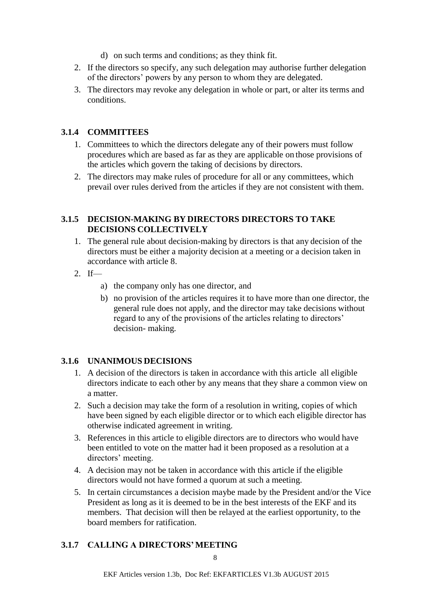- d) on such terms and conditions; as they think fit.
- 2. If the directors so specify, any such delegation may authorise further delegation of the directors' powers by any person to whom they are delegated.
- 3. The directors may revoke any delegation in whole or part, or alter its terms and conditions.

### <span id="page-7-0"></span>**3.1.4 COMMITTEES**

- 1. Committees to which the directors delegate any of their powers must follow procedures which are based as far as they are applicable on those provisions of the articles which govern the taking of decisions by directors.
- 2. The directors may make rules of procedure for all or any committees, which prevail over rules derived from the articles if they are not consistent with them.

#### <span id="page-7-1"></span>**3.1.5 DECISION-MAKING BY DIRECTORS DIRECTORS TO TAKE DECISIONS COLLECTIVELY**

- 1. The general rule about decision-making by directors is that any decision of the directors must be either a majority decision at a meeting or a decision taken in accordance with article 8.
- 2. If
	- a) the company only has one director, and
	- b) no provision of the articles requires it to have more than one director, the general rule does not apply, and the director may take decisions without regard to any of the provisions of the articles relating to directors' decision- making.

### <span id="page-7-2"></span>**3.1.6 UNANIMOUS DECISIONS**

- 1. A decision of the directors is taken in accordance with this article all eligible directors indicate to each other by any means that they share a common view on a matter.
- 2. Such a decision may take the form of a resolution in writing, copies of which have been signed by each eligible director or to which each eligible director has otherwise indicated agreement in writing.
- 3. References in this article to eligible directors are to directors who would have been entitled to vote on the matter had it been proposed as a resolution at a directors' meeting.
- 4. A decision may not be taken in accordance with this article if the eligible directors would not have formed a quorum at such a meeting.
- 5. In certain circumstances a decision maybe made by the President and/or the Vice President as long as it is deemed to be in the best interests of the EKF and its members. That decision will then be relayed at the earliest opportunity, to the board members for ratification.

### <span id="page-7-3"></span>**3.1.7 CALLING A DIRECTORS' MEETING**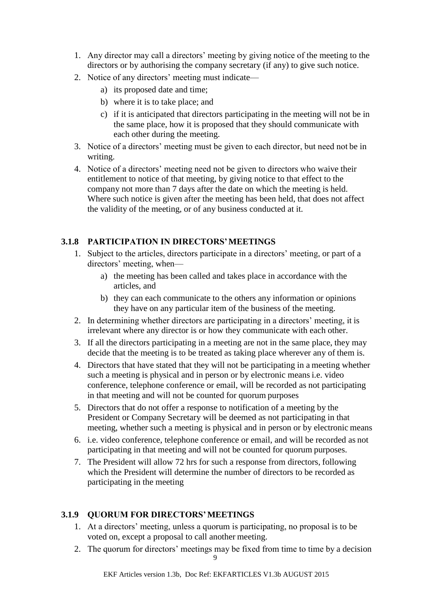- 1. Any director may call a directors' meeting by giving notice of the meeting to the directors or by authorising the company secretary (if any) to give such notice.
- 2. Notice of any directors' meeting must indicate
	- a) its proposed date and time;
	- b) where it is to take place; and
	- c) if it is anticipated that directors participating in the meeting will not be in the same place, how it is proposed that they should communicate with each other during the meeting.
- 3. Notice of a directors' meeting must be given to each director, but need not be in writing.
- 4. Notice of a directors' meeting need not be given to directors who waive their entitlement to notice of that meeting, by giving notice to that effect to the company not more than 7 days after the date on which the meeting is held. Where such notice is given after the meeting has been held, that does not affect the validity of the meeting, or of any business conducted at it.

### <span id="page-8-0"></span>**3.1.8 PARTICIPATION IN DIRECTORS'MEETINGS**

- 1. Subject to the articles, directors participate in a directors' meeting, or part of a directors' meeting, when
	- a) the meeting has been called and takes place in accordance with the articles, and
	- b) they can each communicate to the others any information or opinions they have on any particular item of the business of the meeting.
- 2. In determining whether directors are participating in a directors' meeting, it is irrelevant where any director is or how they communicate with each other.
- 3. If all the directors participating in a meeting are not in the same place, they may decide that the meeting is to be treated as taking place wherever any of them is.
- 4. Directors that have stated that they will not be participating in a meeting whether such a meeting is physical and in person or by electronic means i.e. video conference, telephone conference or email, will be recorded as not participating in that meeting and will not be counted for quorum purposes
- 5. Directors that do not offer a response to notification of a meeting by the President or Company Secretary will be deemed as not participating in that meeting, whether such a meeting is physical and in person or by electronic means
- 6. i.e. video conference, telephone conference or email, and will be recorded as not participating in that meeting and will not be counted for quorum purposes.
- 7. The President will allow 72 hrs for such a response from directors, following which the President will determine the number of directors to be recorded as participating in the meeting

## <span id="page-8-1"></span>**3.1.9 QUORUM FOR DIRECTORS'MEETINGS**

- 1. At a directors' meeting, unless a quorum is participating, no proposal is to be voted on, except a proposal to call another meeting.
- 2. The quorum for directors' meetings may be fixed from time to time by a decision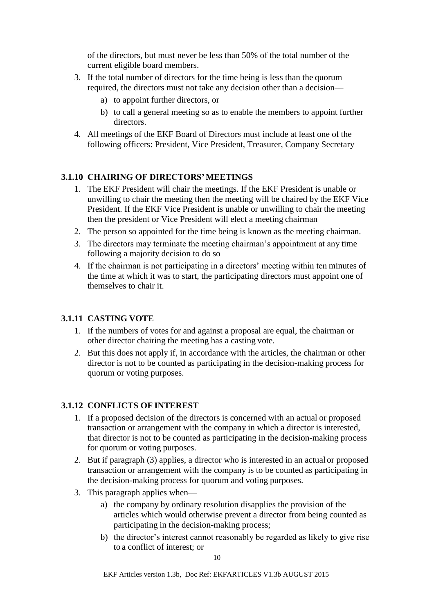of the directors, but must never be less than 50% of the total number of the current eligible board members.

- 3. If the total number of directors for the time being is less than the quorum required, the directors must not take any decision other than a decision
	- a) to appoint further directors, or
	- b) to call a general meeting so as to enable the members to appoint further directors.
- 4. All meetings of the EKF Board of Directors must include at least one of the following officers: President, Vice President, Treasurer, Company Secretary

### <span id="page-9-0"></span>**3.1.10 CHAIRING OF DIRECTORS'MEETINGS**

- 1. The EKF President will chair the meetings. If the EKF President is unable or unwilling to chair the meeting then the meeting will be chaired by the EKF Vice President. If the EKF Vice President is unable or unwilling to chair the meeting then the president or Vice President will elect a meeting chairman
- 2. The person so appointed for the time being is known as the meeting chairman.
- 3. The directors may terminate the meeting chairman's appointment at any time following a majority decision to do so
- 4. If the chairman is not participating in a directors' meeting within ten minutes of the time at which it was to start, the participating directors must appoint one of themselves to chair it.

### <span id="page-9-1"></span>**3.1.11 CASTING VOTE**

- 1. If the numbers of votes for and against a proposal are equal, the chairman or other director chairing the meeting has a casting vote.
- 2. But this does not apply if, in accordance with the articles, the chairman or other director is not to be counted as participating in the decision-making process for quorum or voting purposes.

### <span id="page-9-2"></span>**3.1.12 CONFLICTS OF INTEREST**

- 1. If a proposed decision of the directors is concerned with an actual or proposed transaction or arrangement with the company in which a director is interested, that director is not to be counted as participating in the decision-making process for quorum or voting purposes.
- 2. But if paragraph (3) applies, a director who is interested in an actual or proposed transaction or arrangement with the company is to be counted as participating in the decision-making process for quorum and voting purposes.
- 3. This paragraph applies when
	- a) the company by ordinary resolution disapplies the provision of the articles which would otherwise prevent a director from being counted as participating in the decision-making process;
	- b) the director's interest cannot reasonably be regarded as likely to give rise to a conflict of interest; or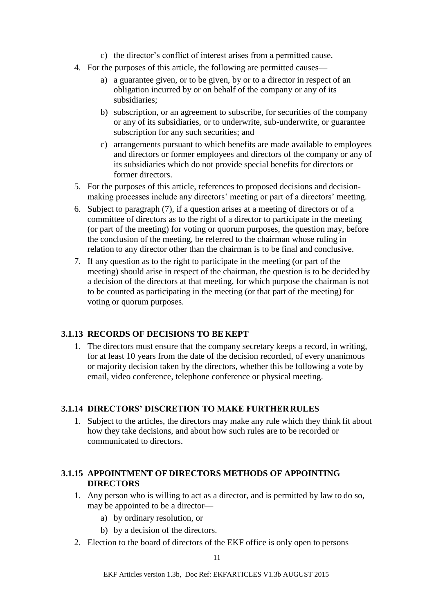- c) the director's conflict of interest arises from a permitted cause.
- 4. For the purposes of this article, the following are permitted causes
	- a) a guarantee given, or to be given, by or to a director in respect of an obligation incurred by or on behalf of the company or any of its subsidiaries;
	- b) subscription, or an agreement to subscribe, for securities of the company or any of its subsidiaries, or to underwrite, sub-underwrite, or guarantee subscription for any such securities; and
	- c) arrangements pursuant to which benefits are made available to employees and directors or former employees and directors of the company or any of its subsidiaries which do not provide special benefits for directors or former directors.
- 5. For the purposes of this article, references to proposed decisions and decisionmaking processes include any directors' meeting or part of a directors' meeting.
- 6. Subject to paragraph (7), if a question arises at a meeting of directors or of a committee of directors as to the right of a director to participate in the meeting (or part of the meeting) for voting or quorum purposes, the question may, before the conclusion of the meeting, be referred to the chairman whose ruling in relation to any director other than the chairman is to be final and conclusive.
- 7. If any question as to the right to participate in the meeting (or part of the meeting) should arise in respect of the chairman, the question is to be decided by a decision of the directors at that meeting, for which purpose the chairman is not to be counted as participating in the meeting (or that part of the meeting) for voting or quorum purposes.

### <span id="page-10-0"></span>**3.1.13 RECORDS OF DECISIONS TO BE KEPT**

1. The directors must ensure that the company secretary keeps a record, in writing, for at least 10 years from the date of the decision recorded, of every unanimous or majority decision taken by the directors, whether this be following a vote by email, video conference, telephone conference or physical meeting.

### <span id="page-10-1"></span>**3.1.14 DIRECTORS' DISCRETION TO MAKE FURTHERRULES**

1. Subject to the articles, the directors may make any rule which they think fit about how they take decisions, and about how such rules are to be recorded or communicated to directors.

### <span id="page-10-2"></span>**3.1.15 APPOINTMENT OF DIRECTORS METHODS OF APPOINTING DIRECTORS**

- 1. Any person who is willing to act as a director, and is permitted by law to do so, may be appointed to be a director
	- a) by ordinary resolution, or
	- b) by a decision of the directors.
- 2. Election to the board of directors of the EKF office is only open to persons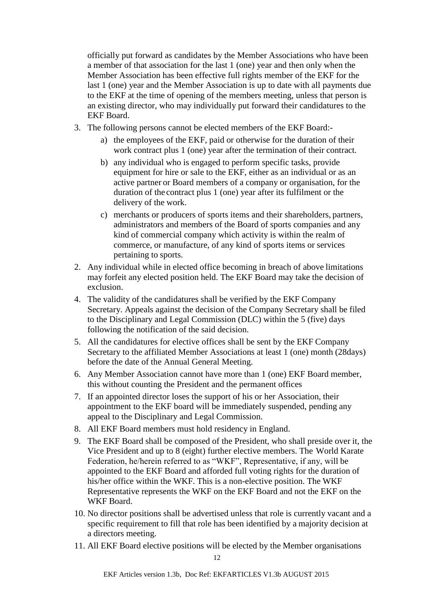officially put forward as candidates by the Member Associations who have been a member of that association for the last 1 (one) year and then only when the Member Association has been effective full rights member of the EKF for the last 1 (one) year and the Member Association is up to date with all payments due to the EKF at the time of opening of the members meeting, unless that person is an existing director, who may individually put forward their candidatures to the EKF Board.

- 3. The following persons cannot be elected members of the EKF Board:
	- a) the employees of the EKF, paid or otherwise for the duration of their work contract plus 1 (one) year after the termination of their contract.
	- b) any individual who is engaged to perform specific tasks, provide equipment for hire or sale to the EKF, either as an individual or as an active partner or Board members of a company or organisation, for the duration of the contract plus 1 (one) year after its fulfilment or the delivery of the work.
	- c) merchants or producers of sports items and their shareholders, partners, administrators and members of the Board of sports companies and any kind of commercial company which activity is within the realm of commerce, or manufacture, of any kind of sports items or services pertaining to sports.
- 2. Any individual while in elected office becoming in breach of above limitations may forfeit any elected position held. The EKF Board may take the decision of exclusion.
- 4. The validity of the candidatures shall be verified by the EKF Company Secretary. Appeals against the decision of the Company Secretary shall be filed to the Disciplinary and Legal Commission (DLC) within the 5 (five) days following the notification of the said decision.
- 5. All the candidatures for elective offices shall be sent by the EKF Company Secretary to the affiliated Member Associations at least 1 (one) month (28days) before the date of the Annual General Meeting.
- 6. Any Member Association cannot have more than 1 (one) EKF Board member, this without counting the President and the permanent offices
- 7. If an appointed director loses the support of his or her Association, their appointment to the EKF board will be immediately suspended, pending any appeal to the Disciplinary and Legal Commission.
- 8. All EKF Board members must hold residency in England.
- 9. The EKF Board shall be composed of the President, who shall preside over it, the Vice President and up to 8 (eight) further elective members. The World Karate Federation, he/herein referred to as "WKF", Representative, if any, will be appointed to the EKF Board and afforded full voting rights for the duration of his/her office within the WKF. This is a non-elective position. The WKF Representative represents the WKF on the EKF Board and not the EKF on the WKF Board.
- 10. No director positions shall be advertised unless that role is currently vacant and a specific requirement to fill that role has been identified by a majority decision at a directors meeting.
- 11. All EKF Board elective positions will be elected by the Member organisations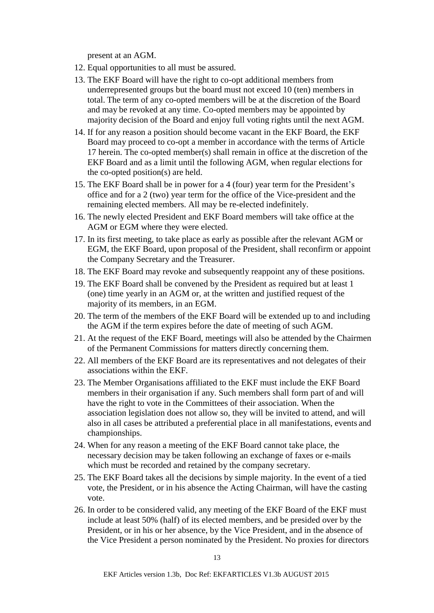present at an AGM.

- 12. Equal opportunities to all must be assured.
- 13. The EKF Board will have the right to co-opt additional members from underrepresented groups but the board must not exceed 10 (ten) members in total. The term of any co-opted members will be at the discretion of the Board and may be revoked at any time. Co-opted members may be appointed by majority decision of the Board and enjoy full voting rights until the next AGM.
- 14. If for any reason a position should become vacant in the EKF Board, the EKF Board may proceed to co-opt a member in accordance with the terms of Article 17 herein. The co-opted member(s) shall remain in office at the discretion of the EKF Board and as a limit until the following AGM, when regular elections for the co-opted position(s) are held.
- 15. The EKF Board shall be in power for a 4 (four) year term for the President's office and for a 2 (two) year term for the office of the Vice-president and the remaining elected members. All may be re-elected indefinitely.
- 16. The newly elected President and EKF Board members will take office at the AGM or EGM where they were elected.
- 17. In its first meeting, to take place as early as possible after the relevant AGM or EGM, the EKF Board, upon proposal of the President, shall reconfirm or appoint the Company Secretary and the Treasurer.
- 18. The EKF Board may revoke and subsequently reappoint any of these positions.
- 19. The EKF Board shall be convened by the President as required but at least 1 (one) time yearly in an AGM or, at the written and justified request of the majority of its members, in an EGM.
- 20. The term of the members of the EKF Board will be extended up to and including the AGM if the term expires before the date of meeting of such AGM.
- 21. At the request of the EKF Board, meetings will also be attended by the Chairmen of the Permanent Commissions for matters directly concerning them.
- 22. All members of the EKF Board are its representatives and not delegates of their associations within the EKF.
- 23. The Member Organisations affiliated to the EKF must include the EKF Board members in their organisation if any. Such members shall form part of and will have the right to vote in the Committees of their association. When the association legislation does not allow so, they will be invited to attend, and will also in all cases be attributed a preferential place in all manifestations, events and championships.
- 24. When for any reason a meeting of the EKF Board cannot take place, the necessary decision may be taken following an exchange of faxes or e-mails which must be recorded and retained by the company secretary.
- 25. The EKF Board takes all the decisions by simple majority. In the event of a tied vote, the President, or in his absence the Acting Chairman, will have the casting vote.
- 26. In order to be considered valid, any meeting of the EKF Board of the EKF must include at least 50% (half) of its elected members, and be presided over by the President, or in his or her absence, by the Vice President, and in the absence of the Vice President a person nominated by the President. No proxies for directors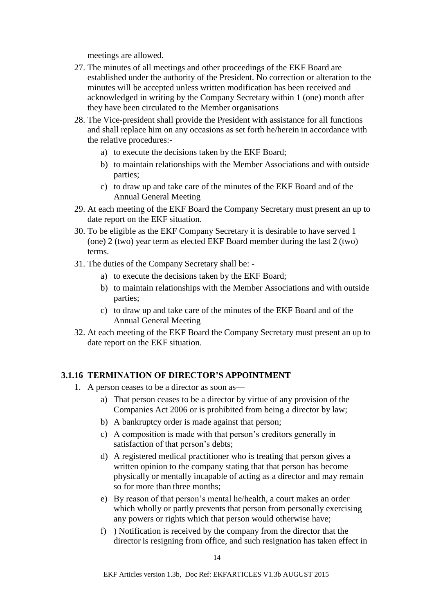meetings are allowed.

- 27. The minutes of all meetings and other proceedings of the EKF Board are established under the authority of the President. No correction or alteration to the minutes will be accepted unless written modification has been received and acknowledged in writing by the Company Secretary within 1 (one) month after they have been circulated to the Member organisations
- 28. The Vice-president shall provide the President with assistance for all functions and shall replace him on any occasions as set forth he/herein in accordance with the relative procedures:
	- a) to execute the decisions taken by the EKF Board;
	- b) to maintain relationships with the Member Associations and with outside parties;
	- c) to draw up and take care of the minutes of the EKF Board and of the Annual General Meeting
- 29. At each meeting of the EKF Board the Company Secretary must present an up to date report on the EKF situation.
- 30. To be eligible as the EKF Company Secretary it is desirable to have served 1 (one) 2 (two) year term as elected EKF Board member during the last 2 (two) terms.
- 31. The duties of the Company Secretary shall be:
	- a) to execute the decisions taken by the EKF Board;
	- b) to maintain relationships with the Member Associations and with outside parties;
	- c) to draw up and take care of the minutes of the EKF Board and of the Annual General Meeting
- 32. At each meeting of the EKF Board the Company Secretary must present an up to date report on the EKF situation.

#### <span id="page-13-0"></span>**3.1.16 TERMINATION OF DIRECTOR'S APPOINTMENT**

- 1. A person ceases to be a director as soon as
	- a) That person ceases to be a director by virtue of any provision of the Companies Act 2006 or is prohibited from being a director by law;
	- b) A bankruptcy order is made against that person;
	- c) A composition is made with that person's creditors generally in satisfaction of that person's debts;
	- d) A registered medical practitioner who is treating that person gives a written opinion to the company stating that that person has become physically or mentally incapable of acting as a director and may remain so for more than three months;
	- e) By reason of that person's mental he/health, a court makes an order which wholly or partly prevents that person from personally exercising any powers or rights which that person would otherwise have;
	- f) ) Notification is received by the company from the director that the director is resigning from office, and such resignation has taken effect in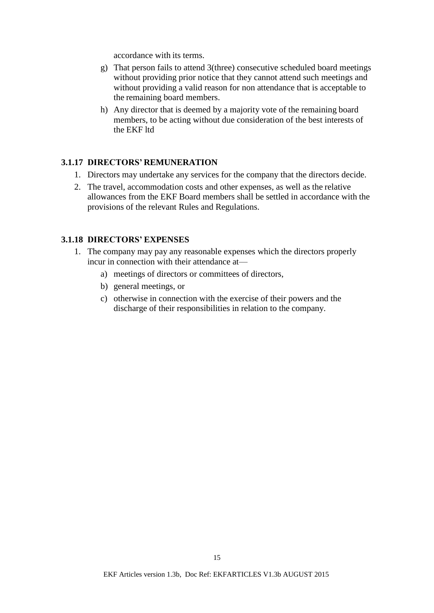accordance with its terms.

- g) That person fails to attend 3(three) consecutive scheduled board meetings without providing prior notice that they cannot attend such meetings and without providing a valid reason for non attendance that is acceptable to the remaining board members.
- h) Any director that is deemed by a majority vote of the remaining board members, to be acting without due consideration of the best interests of the EKF ltd

#### <span id="page-14-0"></span>**3.1.17 DIRECTORS' REMUNERATION**

- 1. Directors may undertake any services for the company that the directors decide.
- 2. The travel, accommodation costs and other expenses, as well as the relative allowances from the EKF Board members shall be settled in accordance with the provisions of the relevant Rules and Regulations.

#### <span id="page-14-1"></span>**3.1.18 DIRECTORS' EXPENSES**

- 1. The company may pay any reasonable expenses which the directors properly incur in connection with their attendance at
	- a) meetings of directors or committees of directors,
	- b) general meetings, or
	- c) otherwise in connection with the exercise of their powers and the discharge of their responsibilities in relation to the company.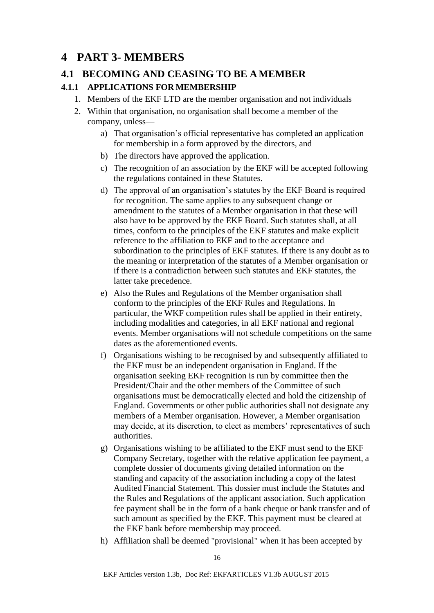# <span id="page-15-0"></span>**4 PART 3- MEMBERS**

## <span id="page-15-1"></span>**4.1 BECOMING AND CEASING TO BE AMEMBER**

### <span id="page-15-2"></span>**4.1.1 APPLICATIONS FOR MEMBERSHIP**

- 1. Members of the EKF LTD are the member organisation and not individuals
- 2. Within that organisation, no organisation shall become a member of the company, unless
	- a) That organisation's official representative has completed an application for membership in a form approved by the directors, and
	- b) The directors have approved the application.
	- c) The recognition of an association by the EKF will be accepted following the regulations contained in these Statutes.
	- d) The approval of an organisation's statutes by the EKF Board is required for recognition. The same applies to any subsequent change or amendment to the statutes of a Member organisation in that these will also have to be approved by the EKF Board. Such statutes shall, at all times, conform to the principles of the EKF statutes and make explicit reference to the affiliation to EKF and to the acceptance and subordination to the principles of EKF statutes. If there is any doubt as to the meaning or interpretation of the statutes of a Member organisation or if there is a contradiction between such statutes and EKF statutes, the latter take precedence.
	- e) Also the Rules and Regulations of the Member organisation shall conform to the principles of the EKF Rules and Regulations. In particular, the WKF competition rules shall be applied in their entirety, including modalities and categories, in all EKF national and regional events. Member organisations will not schedule competitions on the same dates as the aforementioned events.
	- f) Organisations wishing to be recognised by and subsequently affiliated to the EKF must be an independent organisation in England. If the organisation seeking EKF recognition is run by committee then the President/Chair and the other members of the Committee of such organisations must be democratically elected and hold the citizenship of England. Governments or other public authorities shall not designate any members of a Member organisation. However, a Member organisation may decide, at its discretion, to elect as members' representatives of such authorities.
	- g) Organisations wishing to be affiliated to the EKF must send to the EKF Company Secretary, together with the relative application fee payment, a complete dossier of documents giving detailed information on the standing and capacity of the association including a copy of the latest Audited Financial Statement. This dossier must include the Statutes and the Rules and Regulations of the applicant association. Such application fee payment shall be in the form of a bank cheque or bank transfer and of such amount as specified by the EKF. This payment must be cleared at the EKF bank before membership may proceed.
	- h) Affiliation shall be deemed "provisional" when it has been accepted by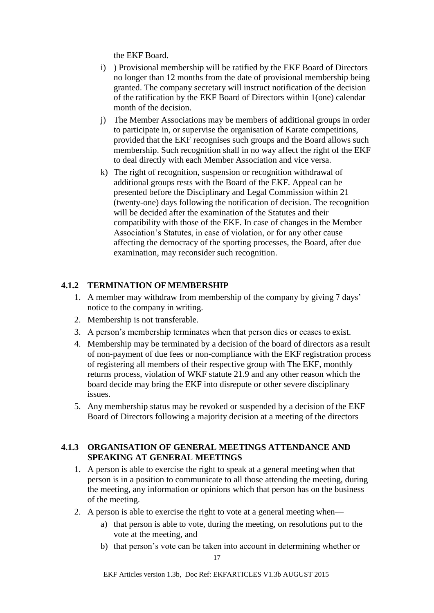the EKF Board.

- i) ) Provisional membership will be ratified by the EKF Board of Directors no longer than 12 months from the date of provisional membership being granted. The company secretary will instruct notification of the decision of the ratification by the EKF Board of Directors within 1(one) calendar month of the decision.
- j) The Member Associations may be members of additional groups in order to participate in, or supervise the organisation of Karate competitions, provided that the EKF recognises such groups and the Board allows such membership. Such recognition shall in no way affect the right of the EKF to deal directly with each Member Association and vice versa.
- k) The right of recognition, suspension or recognition withdrawal of additional groups rests with the Board of the EKF. Appeal can be presented before the Disciplinary and Legal Commission within 21 (twenty-one) days following the notification of decision. The recognition will be decided after the examination of the Statutes and their compatibility with those of the EKF. In case of changes in the Member Association's Statutes, in case of violation, or for any other cause affecting the democracy of the sporting processes, the Board, after due examination, may reconsider such recognition.

### <span id="page-16-0"></span>**4.1.2 TERMINATION OFMEMBERSHIP**

- 1. A member may withdraw from membership of the company by giving 7 days' notice to the company in writing.
- 2. Membership is not transferable.
- 3. A person's membership terminates when that person dies or ceases to exist.
- 4. Membership may be terminated by a decision of the board of directors as a result of non-payment of due fees or non-compliance with the EKF registration process of registering all members of their respective group with The EKF, monthly returns process, violation of WKF statute 21.9 and any other reason which the board decide may bring the EKF into disrepute or other severe disciplinary issues.
- 5. Any membership status may be revoked or suspended by a decision of the EKF Board of Directors following a majority decision at a meeting of the directors

#### <span id="page-16-1"></span>**4.1.3 ORGANISATION OF GENERAL MEETINGS ATTENDANCE AND SPEAKING AT GENERAL MEETINGS**

- 1. A person is able to exercise the right to speak at a general meeting when that person is in a position to communicate to all those attending the meeting, during the meeting, any information or opinions which that person has on the business of the meeting.
- 2. A person is able to exercise the right to vote at a general meeting when
	- a) that person is able to vote, during the meeting, on resolutions put to the vote at the meeting, and
	- b) that person's vote can be taken into account in determining whether or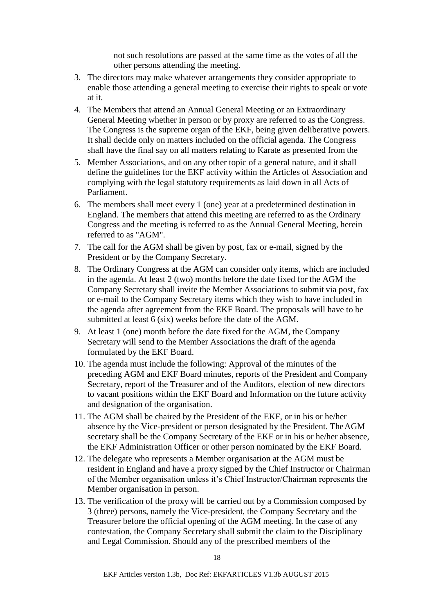not such resolutions are passed at the same time as the votes of all the other persons attending the meeting.

- 3. The directors may make whatever arrangements they consider appropriate to enable those attending a general meeting to exercise their rights to speak or vote at it.
- 4. The Members that attend an Annual General Meeting or an Extraordinary General Meeting whether in person or by proxy are referred to as the Congress. The Congress is the supreme organ of the EKF, being given deliberative powers. It shall decide only on matters included on the official agenda. The Congress shall have the final say on all matters relating to Karate as presented from the
- 5. Member Associations, and on any other topic of a general nature, and it shall define the guidelines for the EKF activity within the Articles of Association and complying with the legal statutory requirements as laid down in all Acts of Parliament.
- 6. The members shall meet every 1 (one) year at a predetermined destination in England. The members that attend this meeting are referred to as the Ordinary Congress and the meeting is referred to as the Annual General Meeting, herein referred to as "AGM".
- 7. The call for the AGM shall be given by post, fax or e-mail, signed by the President or by the Company Secretary.
- 8. The Ordinary Congress at the AGM can consider only items, which are included in the agenda. At least 2 (two) months before the date fixed for the AGM the Company Secretary shall invite the Member Associations to submit via post, fax or e-mail to the Company Secretary items which they wish to have included in the agenda after agreement from the EKF Board. The proposals will have to be submitted at least 6 (six) weeks before the date of the AGM.
- 9. At least 1 (one) month before the date fixed for the AGM, the Company Secretary will send to the Member Associations the draft of the agenda formulated by the EKF Board.
- 10. The agenda must include the following: Approval of the minutes of the preceding AGM and EKF Board minutes, reports of the President and Company Secretary, report of the Treasurer and of the Auditors, election of new directors to vacant positions within the EKF Board and Information on the future activity and designation of the organisation.
- 11. The AGM shall be chaired by the President of the EKF, or in his or he/her absence by the Vice-president or person designated by the President. TheAGM secretary shall be the Company Secretary of the EKF or in his or he/her absence, the EKF Administration Officer or other person nominated by the EKF Board.
- 12. The delegate who represents a Member organisation at the AGM must be resident in England and have a proxy signed by the Chief Instructor or Chairman of the Member organisation unless it's Chief Instructor/Chairman represents the Member organisation in person.
- 13. The verification of the proxy will be carried out by a Commission composed by 3 (three) persons, namely the Vice-president, the Company Secretary and the Treasurer before the official opening of the AGM meeting. In the case of any contestation, the Company Secretary shall submit the claim to the Disciplinary and Legal Commission. Should any of the prescribed members of the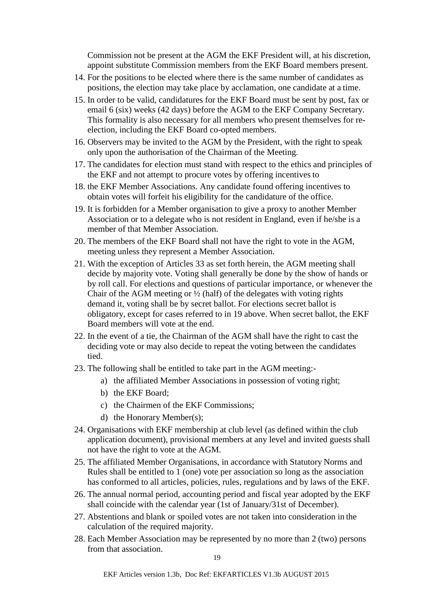Commission not be present at the AGM the EKF President will, at his discretion, appoint substitute Commission members from the EKF Board members present.

- 14. For the positions to be elected where there is the same number of candidates as positions, the election may take place by acclamation, one candidate at a time.
- 15. In order to be valid, candidatures for the EKF Board must be sent by post, fax or email 6 (six) weeks (42 days) before the AGM to the EKF Company Secretary. This formality is also necessary for all members who present themselves for reelection, including the EKF Board co-opted members.
- 16. Observers may be invited to the AGM by the President, with the right to speak only upon the authorisation of the Chairman of the Meeting.
- 17. The candidates for election must stand with respect to the ethics and principles of the EKF and not attempt to procure votes by offering incentives to
- 18. the EKF Member Associations. Any candidate found offering incentives to obtain votes will forfeit his eligibility for the candidature of the office.
- 19. It is forbidden for a Member organisation to give a proxy to another Member Association or to a delegate who is not resident in England, even if he/she is a member of that Member Association.
- 20. The members of the EKF Board shall not have the right to vote in the AGM, meeting unless they represent a Member Association.
- 21. With the exception of Articles 33 as set forth herein, the AGM meeting shall decide by majority vote. Voting shall generally be done by the show of hands or by roll call. For elections and questions of particular importance, or whenever the Chair of the AGM meeting or  $\frac{1}{2}$  (half) of the delegates with voting rights demand it, voting shall be by secret ballot. For elections secret ballot is obligatory, except for cases referred to in 19 above. When secret ballot, the EKF Board members will vote at the end.
- 22. In the event of a tie, the Chairman of the AGM shall have the right to cast the deciding vote or may also decide to repeat the voting between the candidates tied.
- 23. The following shall be entitled to take part in the AGM meeting:
	- a) the affiliated Member Associations in possession of voting right;
	- b) the EKF Board;
	- c) the Chairmen of the EKF Commissions;
	- d) the Honorary Member(s);
- 24. Organisations with EKF membership at club level (as defined within the club application document), provisional members at any level and invited guests shall not have the right to vote at the AGM.
- 25. The affiliated Member Organisations, in accordance with Statutory Norms and Rules shall be entitled to 1 (one) vote per association so long as the association has conformed to all articles, policies, rules, regulations and by laws of the EKF.
- 26. The annual normal period, accounting period and fiscal year adopted by the EKF shall coincide with the calendar year (1st of January/31st of December).
- 27. Abstentions and blank or spoiled votes are not taken into consideration in the calculation of the required majority.
- 28. Each Member Association may be represented by no more than 2 (two) persons from that association.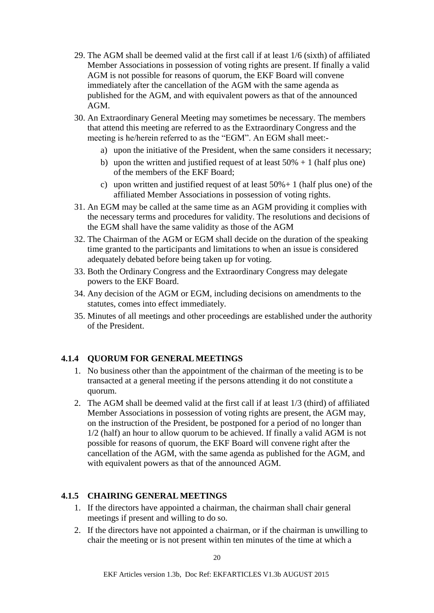- 29. The AGM shall be deemed valid at the first call if at least 1/6 (sixth) of affiliated Member Associations in possession of voting rights are present. If finally a valid AGM is not possible for reasons of quorum, the EKF Board will convene immediately after the cancellation of the AGM with the same agenda as published for the AGM, and with equivalent powers as that of the announced AGM.
- 30. An Extraordinary General Meeting may sometimes be necessary. The members that attend this meeting are referred to as the Extraordinary Congress and the meeting is he/herein referred to as the "EGM". An EGM shall meet:
	- a) upon the initiative of the President, when the same considers it necessary;
	- b) upon the written and justified request of at least  $50% + 1$  (half plus one) of the members of the EKF Board;
	- c) upon written and justified request of at least  $50\% + 1$  (half plus one) of the affiliated Member Associations in possession of voting rights.
- 31. An EGM may be called at the same time as an AGM providing it complies with the necessary terms and procedures for validity. The resolutions and decisions of the EGM shall have the same validity as those of the AGM
- 32. The Chairman of the AGM or EGM shall decide on the duration of the speaking time granted to the participants and limitations to when an issue is considered adequately debated before being taken up for voting.
- 33. Both the Ordinary Congress and the Extraordinary Congress may delegate powers to the EKF Board.
- 34. Any decision of the AGM or EGM, including decisions on amendments to the statutes, comes into effect immediately.
- 35. Minutes of all meetings and other proceedings are established under the authority of the President.

## <span id="page-19-0"></span>**4.1.4 QUORUM FOR GENERAL MEETINGS**

- 1. No business other than the appointment of the chairman of the meeting is to be transacted at a general meeting if the persons attending it do not constitute a quorum.
- 2. The AGM shall be deemed valid at the first call if at least 1/3 (third) of affiliated Member Associations in possession of voting rights are present, the AGM may, on the instruction of the President, be postponed for a period of no longer than 1/2 (half) an hour to allow quorum to be achieved. If finally a valid AGM is not possible for reasons of quorum, the EKF Board will convene right after the cancellation of the AGM, with the same agenda as published for the AGM, and with equivalent powers as that of the announced AGM.

## <span id="page-19-1"></span>**4.1.5 CHAIRING GENERAL MEETINGS**

- 1. If the directors have appointed a chairman, the chairman shall chair general meetings if present and willing to do so.
- 2. If the directors have not appointed a chairman, or if the chairman is unwilling to chair the meeting or is not present within ten minutes of the time at which a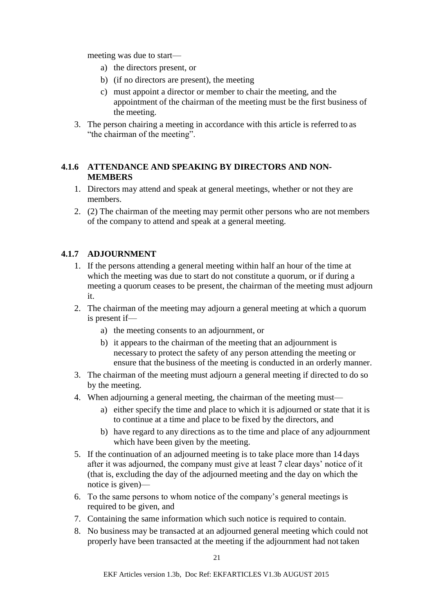meeting was due to start—

- a) the directors present, or
- b) (if no directors are present), the meeting
- c) must appoint a director or member to chair the meeting, and the appointment of the chairman of the meeting must be the first business of the meeting.
- 3. The person chairing a meeting in accordance with this article is referred to as "the chairman of the meeting".

### <span id="page-20-0"></span>**4.1.6 ATTENDANCE AND SPEAKING BY DIRECTORS AND NON-MEMBERS**

- 1. Directors may attend and speak at general meetings, whether or not they are members.
- 2. (2) The chairman of the meeting may permit other persons who are not members of the company to attend and speak at a general meeting.

## <span id="page-20-1"></span>**4.1.7 ADJOURNMENT**

- 1. If the persons attending a general meeting within half an hour of the time at which the meeting was due to start do not constitute a quorum, or if during a meeting a quorum ceases to be present, the chairman of the meeting must adjourn it.
- 2. The chairman of the meeting may adjourn a general meeting at which a quorum is present if
	- a) the meeting consents to an adjournment, or
	- b) it appears to the chairman of the meeting that an adjournment is necessary to protect the safety of any person attending the meeting or ensure that the business of the meeting is conducted in an orderly manner.
- 3. The chairman of the meeting must adjourn a general meeting if directed to do so by the meeting.
- 4. When adjourning a general meeting, the chairman of the meeting must
	- a) either specify the time and place to which it is adjourned or state that it is to continue at a time and place to be fixed by the directors, and
	- b) have regard to any directions as to the time and place of any adjournment which have been given by the meeting.
- 5. If the continuation of an adjourned meeting is to take place more than 14 days after it was adjourned, the company must give at least 7 clear days' notice of it (that is, excluding the day of the adjourned meeting and the day on which the notice is given)—
- 6. To the same persons to whom notice of the company's general meetings is required to be given, and
- 7. Containing the same information which such notice is required to contain.
- 8. No business may be transacted at an adjourned general meeting which could not properly have been transacted at the meeting if the adjournment had not taken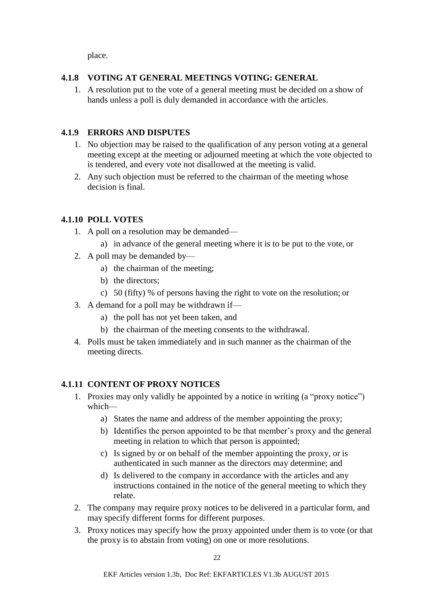place.

### <span id="page-21-0"></span>**4.1.8 VOTING AT GENERAL MEETINGS VOTING: GENERAL**

1. A resolution put to the vote of a general meeting must be decided on a show of hands unless a poll is duly demanded in accordance with the articles.

## <span id="page-21-1"></span>**4.1.9 ERRORS AND DISPUTES**

- 1. No objection may be raised to the qualification of any person voting at a general meeting except at the meeting or adjourned meeting at which the vote objected to is tendered, and every vote not disallowed at the meeting is valid.
- 2. Any such objection must be referred to the chairman of the meeting whose decision is final.

### <span id="page-21-2"></span>**4.1.10 POLL VOTES**

- 1. A poll on a resolution may be demanded
	- a) in advance of the general meeting where it is to be put to the vote, or
- 2. A poll may be demanded by
	- a) the chairman of the meeting;
	- b) the directors;
	- c) 50 (fifty) % of persons having the right to vote on the resolution; or
- 3. A demand for a poll may be withdrawn if
	- a) the poll has not yet been taken, and
	- b) the chairman of the meeting consents to the withdrawal.
- 4. Polls must be taken immediately and in such manner as the chairman of the meeting directs.

## <span id="page-21-3"></span>**4.1.11 CONTENT OF PROXY NOTICES**

- 1. Proxies may only validly be appointed by a notice in writing (a "proxy notice") which
	- a) States the name and address of the member appointing the proxy;
	- b) Identifies the person appointed to be that member's proxy and the general meeting in relation to which that person is appointed;
	- c) Is signed by or on behalf of the member appointing the proxy, or is authenticated in such manner as the directors may determine; and
	- d) Is delivered to the company in accordance with the articles and any instructions contained in the notice of the general meeting to which they relate.
- 2. The company may require proxy notices to be delivered in a particular form, and may specify different forms for different purposes.
- 3. Proxy notices may specify how the proxy appointed under them is to vote (or that the proxy is to abstain from voting) on one or more resolutions.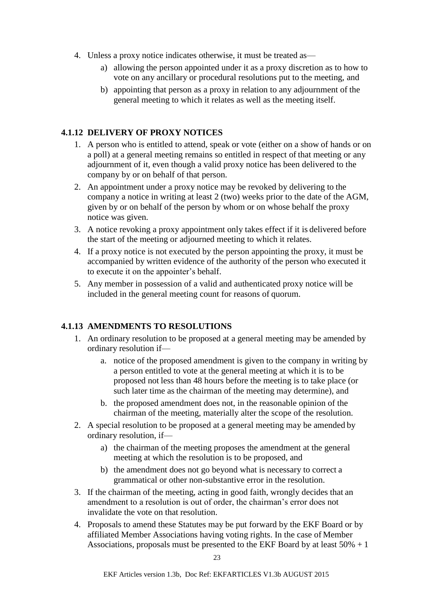- 4. Unless a proxy notice indicates otherwise, it must be treated as
	- a) allowing the person appointed under it as a proxy discretion as to how to vote on any ancillary or procedural resolutions put to the meeting, and
	- b) appointing that person as a proxy in relation to any adjournment of the general meeting to which it relates as well as the meeting itself.

## <span id="page-22-0"></span>**4.1.12 DELIVERY OF PROXY NOTICES**

- 1. A person who is entitled to attend, speak or vote (either on a show of hands or on a poll) at a general meeting remains so entitled in respect of that meeting or any adjournment of it, even though a valid proxy notice has been delivered to the company by or on behalf of that person.
- 2. An appointment under a proxy notice may be revoked by delivering to the company a notice in writing at least 2 (two) weeks prior to the date of the AGM, given by or on behalf of the person by whom or on whose behalf the proxy notice was given.
- 3. A notice revoking a proxy appointment only takes effect if it is delivered before the start of the meeting or adjourned meeting to which it relates.
- 4. If a proxy notice is not executed by the person appointing the proxy, it must be accompanied by written evidence of the authority of the person who executed it to execute it on the appointer's behalf.
- 5. Any member in possession of a valid and authenticated proxy notice will be included in the general meeting count for reasons of quorum.

### <span id="page-22-1"></span>**4.1.13 AMENDMENTS TO RESOLUTIONS**

- 1. An ordinary resolution to be proposed at a general meeting may be amended by ordinary resolution if
	- a. notice of the proposed amendment is given to the company in writing by a person entitled to vote at the general meeting at which it is to be proposed not less than 48 hours before the meeting is to take place (or such later time as the chairman of the meeting may determine), and
	- b. the proposed amendment does not, in the reasonable opinion of the chairman of the meeting, materially alter the scope of the resolution.
- 2. A special resolution to be proposed at a general meeting may be amended by ordinary resolution, if
	- a) the chairman of the meeting proposes the amendment at the general meeting at which the resolution is to be proposed, and
	- b) the amendment does not go beyond what is necessary to correct a grammatical or other non-substantive error in the resolution.
- 3. If the chairman of the meeting, acting in good faith, wrongly decides that an amendment to a resolution is out of order, the chairman's error does not invalidate the vote on that resolution.
- 4. Proposals to amend these Statutes may be put forward by the EKF Board or by affiliated Member Associations having voting rights. In the case of Member Associations, proposals must be presented to the EKF Board by at least 50% + 1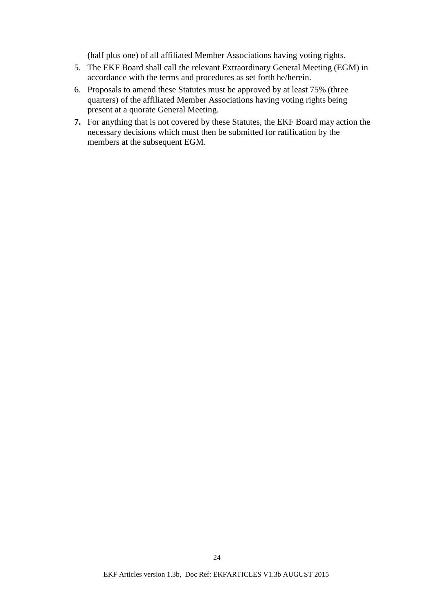(half plus one) of all affiliated Member Associations having voting rights.

- 5. The EKF Board shall call the relevant Extraordinary General Meeting (EGM) in accordance with the terms and procedures as set forth he/herein.
- 6. Proposals to amend these Statutes must be approved by at least 75% (three quarters) of the affiliated Member Associations having voting rights being present at a quorate General Meeting.
- **7.** For anything that is not covered by these Statutes, the EKF Board may action the necessary decisions which must then be submitted for ratification by the members at the subsequent EGM.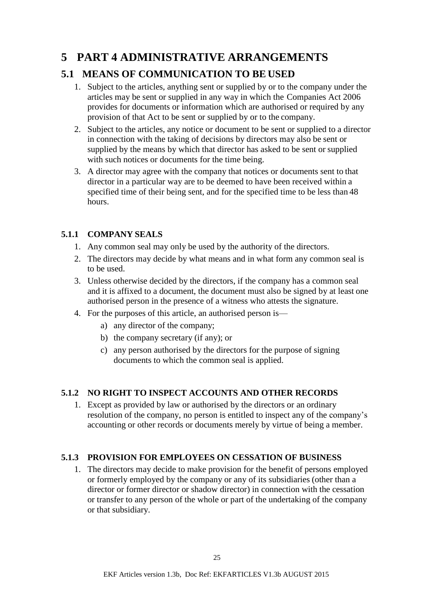# <span id="page-24-0"></span>**5 PART 4 ADMINISTRATIVE ARRANGEMENTS**

# <span id="page-24-1"></span>**5.1 MEANS OF COMMUNICATION TO BE USED**

- 1. Subject to the articles, anything sent or supplied by or to the company under the articles may be sent or supplied in any way in which the Companies Act 2006 provides for documents or information which are authorised or required by any provision of that Act to be sent or supplied by or to the company.
- 2. Subject to the articles, any notice or document to be sent or supplied to a director in connection with the taking of decisions by directors may also be sent or supplied by the means by which that director has asked to be sent or supplied with such notices or documents for the time being.
- 3. A director may agree with the company that notices or documents sent to that director in a particular way are to be deemed to have been received within a specified time of their being sent, and for the specified time to be less than 48 hours.

## <span id="page-24-2"></span>**5.1.1 COMPANY SEALS**

- 1. Any common seal may only be used by the authority of the directors.
- 2. The directors may decide by what means and in what form any common seal is to be used.
- 3. Unless otherwise decided by the directors, if the company has a common seal and it is affixed to a document, the document must also be signed by at least one authorised person in the presence of a witness who attests the signature.
- 4. For the purposes of this article, an authorised person is
	- a) any director of the company;
	- b) the company secretary (if any); or
	- c) any person authorised by the directors for the purpose of signing documents to which the common seal is applied.

## <span id="page-24-3"></span>**5.1.2 NO RIGHT TO INSPECT ACCOUNTS AND OTHER RECORDS**

1. Except as provided by law or authorised by the directors or an ordinary resolution of the company, no person is entitled to inspect any of the company's accounting or other records or documents merely by virtue of being a member.

## <span id="page-24-4"></span>**5.1.3 PROVISION FOR EMPLOYEES ON CESSATION OF BUSINESS**

1. The directors may decide to make provision for the benefit of persons employed or formerly employed by the company or any of its subsidiaries (other than a director or former director or shadow director) in connection with the cessation or transfer to any person of the whole or part of the undertaking of the company or that subsidiary.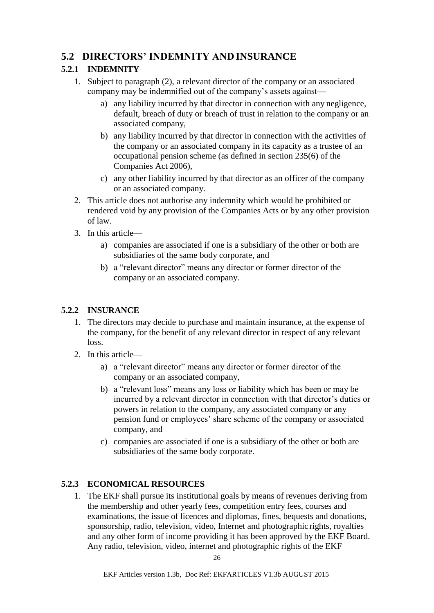## <span id="page-25-0"></span>**5.2 DIRECTORS' INDEMNITY AND INSURANCE**

## <span id="page-25-1"></span>**5.2.1 INDEMNITY**

- 1. Subject to paragraph (2), a relevant director of the company or an associated company may be indemnified out of the company's assets against
	- a) any liability incurred by that director in connection with any negligence, default, breach of duty or breach of trust in relation to the company or an associated company,
	- b) any liability incurred by that director in connection with the activities of the company or an associated company in its capacity as a trustee of an occupational pension scheme (as defined in section 235(6) of the Companies Act 2006),
	- c) any other liability incurred by that director as an officer of the company or an associated company.
- 2. This article does not authorise any indemnity which would be prohibited or rendered void by any provision of the Companies Acts or by any other provision of law.
- 3. In this article
	- a) companies are associated if one is a subsidiary of the other or both are subsidiaries of the same body corporate, and
	- b) a "relevant director" means any director or former director of the company or an associated company.

## <span id="page-25-2"></span>**5.2.2 INSURANCE**

- 1. The directors may decide to purchase and maintain insurance, at the expense of the company, for the benefit of any relevant director in respect of any relevant loss.
- 2. In this article
	- a) a "relevant director" means any director or former director of the company or an associated company,
	- b) a "relevant loss" means any loss or liability which has been or may be incurred by a relevant director in connection with that director's duties or powers in relation to the company, any associated company or any pension fund or employees' share scheme of the company or associated company, and
	- c) companies are associated if one is a subsidiary of the other or both are subsidiaries of the same body corporate.

## <span id="page-25-3"></span>**5.2.3 ECONOMICAL RESOURCES**

1. The EKF shall pursue its institutional goals by means of revenues deriving from the membership and other yearly fees, competition entry fees, courses and examinations, the issue of licences and diplomas, fines, bequests and donations, sponsorship, radio, television, video, Internet and photographic rights, royalties and any other form of income providing it has been approved by the EKF Board. Any radio, television, video, internet and photographic rights of the EKF